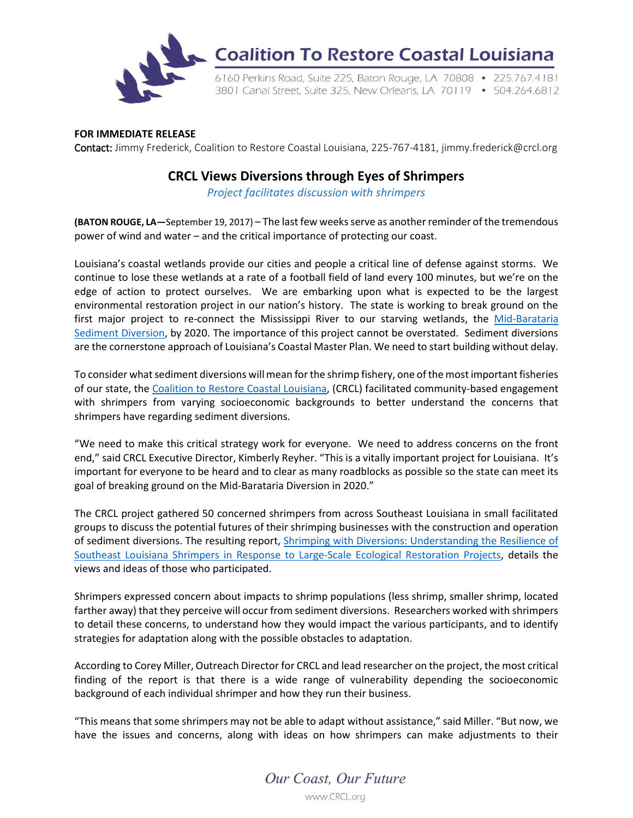

## **FOR IMMEDIATE RELEASE**

Contact: Jimmy Frederick, Coalition to Restore Coastal Louisiana, 225-767-4181, jimmy.frederick@crcl.org

## **CRCL Views Diversions through Eyes of Shrimpers**

*Project facilitates discussion with shrimpers*

**(BATON ROUGE, LA-September 19, 2017) – The last few weeks serve as another reminder of the tremendous** power of wind and water – and the critical importance of protecting our coast.

Louisiana's coastal wetlands provide our cities and people a critical line of defense against storms. We continue to lose these wetlands at a rate of a football field of land every 100 minutes, but we're on the edge of action to protect ourselves. We are embarking upon what is expected to be the largest environmental restoration project in our nation's history. The state is working to break ground on the first major project to re-connect the Mississippi River to our starving wetlands, the [Mid-Barataria](http://coastal.la.gov/mid-basin-sediment-diversion-program/collaborative-delivery-market-sounding-mbsd/) [Sediment Diversion,](http://coastal.la.gov/mid-basin-sediment-diversion-program/collaborative-delivery-market-sounding-mbsd/) by 2020. The importance of this project cannot be overstated. Sediment diversions are the cornerstone approach of Louisiana's Coastal Master Plan. We need to start building without delay.

To consider what sediment diversions will mean for the shrimp fishery, one of the most important fisheries of our state, the [Coalition to Restore Coastal Louisiana,](http://www.crcl.org/) (CRCL) facilitated community-based engagement with shrimpers from varying socioeconomic backgrounds to better understand the concerns that shrimpers have regarding sediment diversions.

"We need to make this critical strategy work for everyone. We need to address concerns on the front end," said CRCL Executive Director, Kimberly Reyher. "This is a vitally important project for Louisiana. It's important for everyone to be heard and to clear as many roadblocks as possible so the state can meet its goal of breaking ground on the Mid-Barataria Diversion in 2020."

The CRCL project gathered 50 concerned shrimpers from across Southeast Louisiana in small facilitated groups to discuss the potential futures of their shrimping businesses with the construction and operation of sediment diversions. The resulting report, [Shrimping with Diversions: Understanding the Resilience of](https://crcl.org/images/Shrimping-with-Diversions.pdf)  Southeast Louisiana Shrimpers [in Response to Large-Scale Ecological Restoration Projects,](https://crcl.org/images/Shrimping-with-Diversions.pdf) details the views and ideas of those who participated.

Shrimpers expressed concern about impacts to shrimp populations (less shrimp, smaller shrimp, located farther away) that they perceive will occur from sediment diversions. Researchers worked with shrimpers to detail these concerns, to understand how they would impact the various participants, and to identify strategies for adaptation along with the possible obstacles to adaptation.

According to Corey Miller, Outreach Director for CRCL and lead researcher on the project, the most critical finding of the report is that there is a wide range of vulnerability depending the socioeconomic background of each individual shrimper and how they run their business.

"This means that some shrimpers may not be able to adapt without assistance," said Miller. "But now, we have the issues and concerns, along with ideas on how shrimpers can make adjustments to their

> Our Coast, Our Future www.CRCL.org